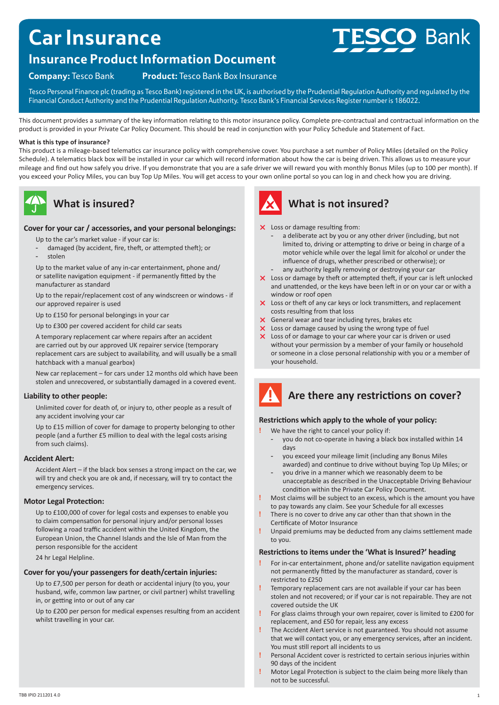# **Car Insurance**

### **Insurance Product Information Document**

**Company:** Tesco Bank **Product:** Tesco Bank Box Insurance

Tesco Personal Finance plc (trading as Tesco Bank) registered in the UK, is authorised by the Prudential Regulation Authority and regulated by the Financial Conduct Authority and the Prudential Regulation Authority. Tesco Bank's Financial Services Register number is 186022.

This document provides a summary of the key information relating to this motor insurance policy. Complete pre-contractual and contractual information on the product is provided in your Private Car Policy Document. This should be read in conjunction with your Policy Schedule and Statement of Fact.

#### **What is this type of insurance?**

This product is a mileage-based telematics car insurance policy with comprehensive cover. You purchase a set number of Policy Miles (detailed on the Policy Schedule). A telematics black box will be installed in your car which will record information about how the car is being driven. This allows us to measure your mileage and find out how safely you drive. If you demonstrate that you are a safe driver we will reward you with monthly Bonus Miles (up to 100 per month). If you exceed your Policy Miles, you can buy Top Up Miles. You will get access to your own online portal so you can log in and check how you are driving.



### **What is insured?**

### **Cover for your car / accessories, and your personal belongings:**

Up to the car's market value - if your car is:

- damaged (by accident, fire, theft, or attempted theft); or
- stolen

Up to the market value of any in-car entertainment, phone and/ or satellite navigation equipment - if permanently fitted by the manufacturer as standard

Up to the repair/replacement cost of any windscreen or windows - if our approved repairer is used

Up to £150 for personal belongings in your car

Up to £300 per covered accident for child car seats

A temporary replacement car where repairs after an accident are carried out by our approved UK repairer service (temporary replacement cars are subject to availability, and will usually be a small hatchback with a manual gearbox)

New car replacement – for cars under 12 months old which have been stolen and unrecovered, or substantially damaged in a covered event.

### **Liability to other people:**

Unlimited cover for death of, or injury to, other people as a result of any accident involving your car

Up to £15 million of cover for damage to property belonging to other people (and a further £5 million to deal with the legal costs arising from such claims).

### **Accident Alert:**

Accident Alert – if the black box senses a strong impact on the car, we will try and check you are ok and, if necessary, will try to contact the emergency services.

### **Motor Legal Protection:**

Up to £100,000 of cover for legal costs and expenses to enable you to claim compensation for personal injury and/or personal losses following a road traffic accident within the United Kingdom, the European Union, the Channel Islands and the Isle of Man from the person responsible for the accident

24 hr Legal Helpline.

### **Cover for you/your passengers for death/certain injuries:**

Up to £7,500 per person for death or accidental injury (to you, your husband, wife, common law partner, or civil partner) whilst travelling in, or getting into or out of any car

Up to £200 per person for medical expenses resulting from an accident whilst travelling in your car.



### **What is not insured?**

- X Loss or damage resulting from:
	- a deliberate act by you or any other driver (including, but not limited to, driving or attempting to drive or being in charge of a motor vehicle while over the legal limit for alcohol or under the influence of drugs, whether prescribed or otherwise); or
	- any authority legally removing or destroying your car
- $\times$  Loss or damage by theft or attempted theft, if your car is left unlocked and unattended, or the keys have been left in or on your car or with a window or roof open
- $\times$  Loss or theft of any car keys or lock transmitters, and replacement costs resulting from that loss
- $\times$  General wear and tear including tyres, brakes etc
- $\times$  Loss or damage caused by using the wrong type of fuel
- $\times$  Loss of or damage to your car where your car is driven or used without your permission by a member of your family or household or someone in a close personal relationship with you or a member of your household.

# **Are there any restrictions on cover?**

### **Restrictions which apply to the whole of your policy:**

- **!** We have the right to cancel your policy if:
	- you do not co-operate in having a black box installed within 14 days
	- you exceed your mileage limit (including any Bonus Miles awarded) and continue to drive without buying Top Up Miles; or
	- you drive in a manner which we reasonably deem to be unacceptable as described in the Unacceptable Driving Behaviour condition within the Private Car Policy Document.
- **!** Most claims will be subject to an excess, which is the amount you have to pay towards any claim. See your Schedule for all excesses
- **!** There is no cover to drive any car other than that shown in the Certificate of Motor Insurance
- **!** Unpaid premiums may be deducted from any claims settlement made to you.

### **Restrictions to items under the 'What is Insured?' heading**

- **!** For in-car entertainment, phone and/or satellite navigation equipment not permanently fitted by the manufacturer as standard, cover is restricted to £250
- **!** Temporary replacement cars are not available if your car has been stolen and not recovered; or if your car is not repairable. They are not covered outside the UK
- **!** For glass claims through your own repairer, cover is limited to £200 for replacement, and £50 for repair, less any excess
- **!** The Accident Alert service is not guaranteed. You should not assume that we will contact you, or any emergency services, after an incident. You must still report all incidents to us
- **!** Personal Accident cover is restricted to certain serious injuries within 90 days of the incident
- **!** Motor Legal Protection is subject to the claim being more likely than not to be successful.

# **ESCO Bank**